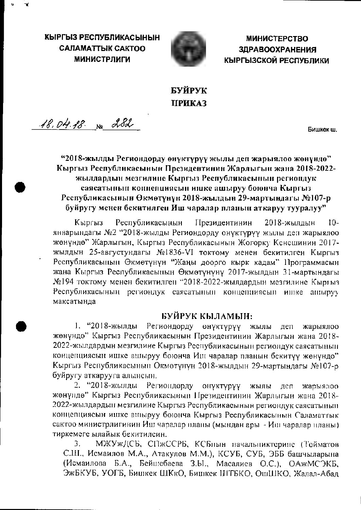КЫРГЫЗ РЕСПУБЛИКАСЫНЫН **CAЛAMATTЫК САКТОО МИНИСТРЛИГИ** 



**МИНИСТЕРСТВО ЗДРАВООХРАНЕНИЯ** КЫРГЫЗСКОЙ РЕСПУБЛИКИ

## БУЙРУК **ПРИКАЗ**

18.04.18 No 282

Бишкек ш.

### "2018-жылды Региондорду өнүктүрүү жылы деп жарыялоо жөнүндө" Кыргыз Республикасынын Президентинин Жарлыгын жана 2018-2022жылдардын мезгилине Кыргыз Республикасынын региондук саясатынын концепциясын ишке ашыруу боюнча Кыргыз Республикасынын Өкмөтүнүн 2018-жылдын 29-мартындагы №107-р буйругу менен бекитилген Иш чаралар планын аткаруу тууралуу"

Президентинин 2018-жылдын Кыргыз Республикасынын  $10$ январындагы №2 "2018-жылды Региондорду онүктүрүү жылы деп жарыялоо жөнүндө" Жарлыгын, Кыргыз Республикасынын Жогорку Кснешинин 2017жылдын 25-августундагы №1836-VI токтому менен бекитилген Кыргыз Республикасынын Өкмөтүнүн "Жаңы доорго кырк кадам" Программасын жана Кыргыз Республикасынын Өкмөтүнүнү 2017-жылдын 31-мартындагы №194 токтому менен бекитилген "2018-2022-жылдардын мезгилине Кыргыз Республикасынын региондук саясатынын концепциясын ишке ашыруу максатында

#### БУЙРУК КЫЛАМЫН:

1. "2018-жылды Региондорду өнүктүрүү жылы деп жарыялоо жөнүндө" Кыргыз Республикасынын Президентинин Жарлыгын жана 2018-2022-жылдардын мезгилине Кыргыз Республикасынын региондук саясатынын концепциясын ишке ашыруу боюнча Иш чаралар планын бекитүү жөнүндо" Кыргыз Республикасынын Окмөтүнүн 2018-жылдын 29-мартындагы №107-р буйругу аткарууга алынсын.

2. "2018-жылды Региондорду онуктүрүү жылы деп жарыялоо жөнүндө" Кыргыз Республикасынын Президентинин Жарлыгын жана 2018-2022-жылдардын мезгилине Кыргыз Республикасынын региондук саясатынын концепциясын ишке ашыруу боюнча Кыргыз Республикасынын Саламаттык сактоо министрлигинин Иш чаралар планы (мындан ары - Иш чаралар планы) тиркемеге ылайык бекитилсин.

МЖУжДСБ, СПжССРБ, КСБнын начальниктерине (Тойматов 3. С.Ш., Исмаилов М.А., Атакулов М.М.), КСУБ, СУБ, ЭББ башчыларына (Исмаилова Б.А., Бейшебаева З.Ы., Масалиев О.С.), ОАжМСЭКБ, ЭжБКУБ, УОГБ, Бишкек ШКкО, Бишкек ШТБКО, ОшШКО, Жалал-Абад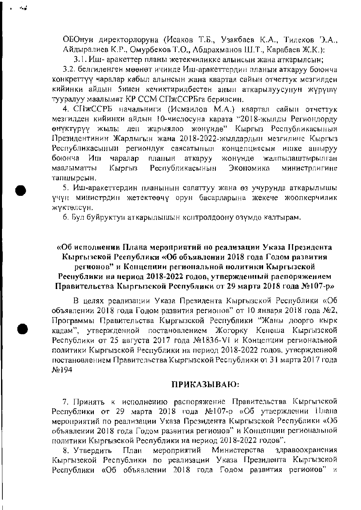ОБОнун директорлоруна (Исаков Т.Б., Узакбаев К.А., Тилеков Э.А., Айдыралиев К.Р., Омурбеков Т.О., Абдрахманов Ш.Т., Карабаев Ж.К.):

3.1. Иш- аракеттер планы жетекчиликке алынсын жана аткарылсын;

3.2. белгиленген мөөнөт ичинде Иш-аракеттердин планын аткаруу боюнча конкреттүү чаралар кабыл алынсын жана квартал сайын отчеттүк мезгилден кийинки айдын 5инен кечиктирилбестен анын аткарылуусунун жүрүшү тууралуу маалымат КР ССМ СПжССРБга берилсин.

4. СПжССРБ начальниги (Исмаилов М.А.) квартал сайын отчеттук мезгилден кийинки айдын 10-числосуна карата "2018-жылды Региондорду өнүктүрүү жылы деп жарыялоо жөнүндө" Кыргыз Республикасынын Президентинин Жарлыгын жана 2018-2022-жылдардын мезгилине Кыргыз Республикасынын региондук саясатынын концепциясын ишке ашыруу боюнча  $M_{\rm HI}$ чаралар планын жонүндө аткаруу жалпылацтырылган Республикасынын Экономика маалыматты Кыргыз министрлигине тапшырсын.

5. Иш-аракеттердин планынын сапаттуу жана өз учурунда аткарылышы үчүн министрдин жетектөөчү орун басарларына жекече жоопкерчилик жүктөлсүн.

6. Бул буйруктун аткарылышын контролдоону өзүмдө калтырам.

#### «Об исполнении Плана мероприятий по реализации Указа Президента Кыргызской Республики «Об объявлении 2018 года Годом развития регионов" и Концепции региональной политики Кыргызской Республики на период 2018-2022 годов, утвержденный распоряжением Правительства Кыргызской Республики от 29 марта 2018 года №107-р»

В целях реализации Указа Президента Кыргызской Республики «Об объявлении 2018 года Годом развития регионов" от 10 января 2018 года №2, Программы Правительства Кыргызской Республики "Жаны доорго кырк кадам", утвержденной постановлением Жогорку Кенеша Кыргызской Республики от 25 августа 2017 года №1836-VI и Концепции региональной политики Кыргызской Республики на период 2018-2022 годов, утвержденной постановлением Правительства Кыргызской Республики от 31 марта 2017 года No194

#### ПРИКАЗЫВАЮ:

7. Принять к исполнению распоряжение Правительства Кыргызской Республики от 29 марта 2018 года №107-р «Об утверждении Нлана мероприятий по реализации Указа Президента Кыргызской Республики «Об объявлении 2018 года Годом развития регионов" и Концепции региональной политики Кыргызской Республики на период 2018-2022 годов".

Министерства здравоохранения мероприятий 8. Утвердить План Кыргызской Республики по реализации Указа Президента Кыргызской Республики «Об объявлении 2018 года Годом развития регионов" и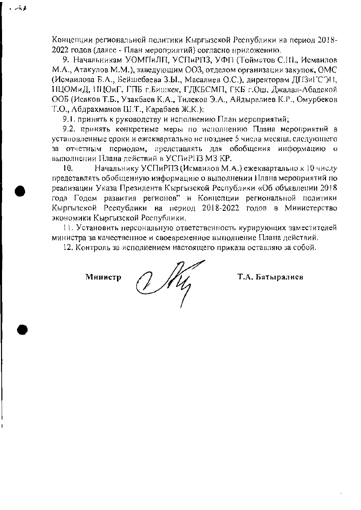Концепции региональной политики Кыргызской Республики на период 2018-2022 годов (далее - План мероприятий) согласно приложению.

9. Начальникам УОМПиЛП, УСПиРПЗ, УФП (Тойматов С.Ш., Исмаилов М.А., Атакулов М.М.), заведующим ООЗ, отделом организации закупок, ОМС (Исмаилова Б.А., Бейшебаева З.Ы., Масалиев О.С.), директорам ДПЗиГСЭН, НЦОМиД, ПЦОиГ, ГПБ г.Бишкек, ГДКБСМП, ГКБ г.Ош, Джалал-Абадской ООБ (Исаков Т.Б., Узакбаев К.А., Тилеков Э.А., Айдыралиев К.Р., Омурбеков Т.О., Абдрахманов Ш.Т., Карабаев Ж.К.):

9.1. принять к руководству и исполнению План мероприятий;

9.2. принять конкретные меры по исполнению Плана мероприятий в установленные сроки и ежеквартально не позднее 5 числа месяца, следующего за отчетным периодом, представлять для обобщения информацию о выполнении Плана действий в УСПиРПЗ МЗ КР.

 $10.$ Начальнику УСПиРПЗ (Исмаилов М.А.) ежеквартально к 10 числу предетавлять обобщенную информацию о выполнении Плана мероприятий по реализации Указа Президента Кыргызской Республики «Об объявлении 2018 года Годом развития регионов" и Концепции региональной политики Кыргызской Республики на период 2018-2022 годов в Министерство экономики Кыргызской Республики.

11. Установить персональную ответственность курирующих заместителей министра за качественное и своевременное выполнение Плана действий.

12. Контроль за исполнением настоящего приказа оставляю за собой.

Министр

 $\sim$   $\sim$   $\sim$   $\sim$ 

 $1/14$ 

Т.А. Батыралиев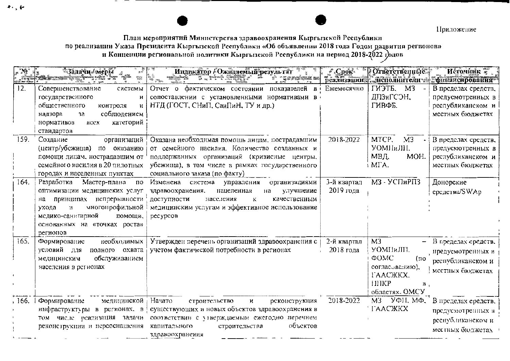Приложение

# План мероприятий Министерства здравоохранения Кыргызской Республики по реализации Указа Президента Кыргызской Республики «Об объявлении 2018 года Годом развития регионов»<br>и Концепции региональной политики Кыргызской Республики на период 2018-2022 годов

|        | <sup>3</sup> Задачи / мерБі                                                                                                                                                                                     | Индикатор (Ожидаемый результат<br>22 X X X<br><b>THE REAL</b>                                                                                                                                                                                             | $C$ рок*<br>реализации   | Ответственные.<br><b>Аленолнители</b>                                                                                         | Источник 7.<br>финансирования                                                       |
|--------|-----------------------------------------------------------------------------------------------------------------------------------------------------------------------------------------------------------------|-----------------------------------------------------------------------------------------------------------------------------------------------------------------------------------------------------------------------------------------------------------|--------------------------|-------------------------------------------------------------------------------------------------------------------------------|-------------------------------------------------------------------------------------|
| 12.    | Совершенствование<br>системы<br>государственного<br>и<br>общественного<br>контроля<br>соблюдением<br>надзора<br>за<br>категорий<br>нормативов<br><b>BCCX</b><br>стандартов                                      | Отчет о фактическом состоянии<br>показателей<br>В<br>сопоставлении с установленными нормативами в<br>НТД (ГОСТ, СНиП, СанПиН, ТУ и др.)                                                                                                                   | Ежемесячно               | ГИЭТБ,<br>M3<br>ДПЗиГСОН,<br>ГИВФБ.                                                                                           | В пределах средств,<br>предусмотренных в<br>республиканском и<br>местных бюджетах   |
| 159.   | Создание<br>организаций<br>(центр/убсжища)<br>по оказанию<br>помощи лицам, нострадавшим от<br>семейного насилия в 20 пилотных<br>городах и населенных пунктах                                                   | Оказана необходимая помощь лицам, пострадавшим<br>от семейного насилия. Количество созданных и<br>поддержанных организаций (кризисные центры,<br>убежища), в том числе в рамках государственного<br>социального заказа (по факту)                         | 2018-2022                | MTCP.<br>M3<br><b>YOMHHJIII.</b><br>МВД.<br>MOH.<br>i MFA.                                                                    | В пределах средств,<br>предусмотренных в<br>республиканском и<br>местных бюджетах   |
| 164.   | Разработка<br>Мастер-плана<br>по<br>оптимизации медицинских услуг<br>принципах испрерывности<br>на<br>многопрофильной<br>ухода<br>и<br>медико-санитарной<br>помощи,<br>основанных на «точках роста»<br>регионов | Изменена<br>система<br>организациями<br>управления<br>здравоохранения.<br>улучшение<br>нацеленная<br>на<br>доступности<br>населения<br>качественным<br>к<br>медицинским услугам и эффективное использование<br>ресурсов                                   | 3-й квартал<br>2019 года | МЗ-УСПиРПЗ                                                                                                                    | Донорские<br>средства/SWAp                                                          |
| 165.   | необходимых<br>Формирование<br>условий для<br>полного охвата<br>обслуживанием<br>медицинским<br>населения в регионах                                                                                            | Утвержден перечень организаций здравоохрансния с<br>учетом фактической потребности в регионах                                                                                                                                                             | 2-й квартал<br>2018 года | M <sub>3</sub><br>УОМПиЛП.<br>ФОМС<br>(по<br>согласованию),<br><b><i>I'AAC</i></b> KKX,<br><b>HIKP</b><br>B<br>областях, ОМСУ | В пределах средств.<br>иредусмотренных в<br>республиканском и<br>местных бюджетах   |
| , 166. | Формирование<br>медицинской<br>том числе реализация задачи<br>реконструкции и переоснащения                                                                                                                     | Начато<br>строительство<br>$\mathbf{H}$<br>реконструкция<br>инфраструктуры в регионах, в существующих и новых объектов здравоохранения в<br>соответствии с утверждаемым ежегодно перечнем<br>объектов<br>капитального<br>строительства<br>здравоохранения | 2018-2022                | M3<br>УФН, МФ,<br><b><i>'IAACЖКХ</i></b>                                                                                      | В пределах средств.<br>предусмотренных в<br>республиканском и<br>местных бюджетах - |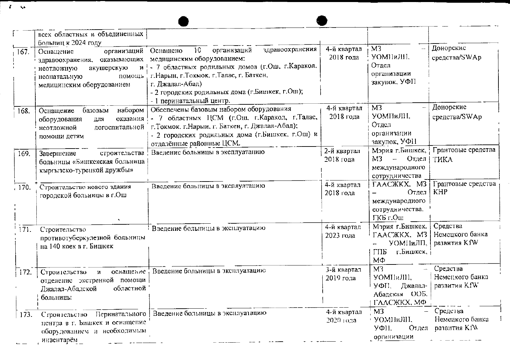|                    | всех областных и объединенных<br>больниц к 2024 году                                                                                        |                                                                                                                                                                                                                                                                                                     |                          |                                                                                        |                                                   |
|--------------------|---------------------------------------------------------------------------------------------------------------------------------------------|-----------------------------------------------------------------------------------------------------------------------------------------------------------------------------------------------------------------------------------------------------------------------------------------------------|--------------------------|----------------------------------------------------------------------------------------|---------------------------------------------------|
| 167.               | организаций<br>Оснащение<br>здравоохранения, оказывающих<br>акушерскую<br>неотложную<br>помощь<br>неонатальную<br>медицинским оборудованием | здравоохрансния<br>10 <sub>1</sub><br>организаций<br>Оснащено<br>медицинским оборудованием:<br>и ! - 7 областных родильных домов (г.Ош. г. Каракол.<br>г. Нарын, г. Токмок. г. Талас, г. Баткен,<br>г. Джалал-Абад)<br>- 2 городских родильных дома (г. Бишкек, г. Ош);<br>- 1 перинатальный центр. | 4-й квартал<br>2018 года | M <sub>3</sub><br>УОМПиЛП,<br>Отдел<br>организации<br>закунок, УФП                     | Донорские<br>средства/SWAp                        |
| 168.               | набором<br>базовым<br>Оснашение<br>оборудования<br>для<br>неотложной<br>помощи детям                                                        | Обеспечены базовым набором оборудования<br>оказания ! - 7 областных ЦСМ (г.Ош. г. Каракол, г. Талас,<br>догоспитальной г. Токмок. г. Нарын. г. Баткен, г. Джалал-Абад);<br>- 2 городских родильных дома (г. Бишкек, г. Ош) и<br>отдалённые районные ЦСМ.                                            | 4-й квартал<br>2018 года | M <sub>3</sub><br>УОМПиЛН,<br>Отдел<br>организации<br>закупок, УФН                     | Донорские<br>средства/SWAp                        |
| 169.               | строительства<br>Завершение<br>больницы «Бишкекская больница<br>кыргызско-туренкой дружбы»                                                  | Введение больницы в эксплуатацию                                                                                                                                                                                                                                                                    | 2-й квартал<br>2018 года | Мэрия г. Бишкек,<br>МЗ – Отдел<br>международного<br>сотрудничества                     | Грантовые средства<br>ТИКА                        |
| $\frac{1}{2}$ 170. | Строительство нового здания<br>городской больницы в г.Ош                                                                                    | Введение больницы в эксплуатацию                                                                                                                                                                                                                                                                    | 4-й квартал<br>2018 года | $TAACKKX.$ M3<br>Отдел<br>международного<br>сотрудничества.<br>ГКБ г.Ош                | Грантовые средства<br>KHP                         |
| 171.               | Строительство<br>противотуберкулезной больницы<br>на 140 коек в г. Бишкек                                                                   | Введение больницы в эксплуатацию                                                                                                                                                                                                                                                                    | 4-й квартал<br>2023 года | Мэрия г.Бишкек.<br><b>TAAC KKX</b> , M3<br>УОМНиЛП,<br>ГПБ<br>г.Бишкек,<br>ΜФ          | Средства<br>Немецкого банка<br>развития KfW       |
| 172.               | оснащение<br>Строительство<br>и<br>отделение экстренной<br>помощи<br>областной<br>Джалал-Абадской<br>больницы                               | Введение больницы в эксплуатацию                                                                                                                                                                                                                                                                    | 3-й квартал<br>2019 года | M <sub>3</sub><br><b>YOMHHJIII,</b><br>yфH.<br>Джалал-<br>Абадская ООБ.<br>ΓΛΛΟЖΚΧ, ΜΦ | Средства<br>Немецкого банка<br>развития KfW       |
| 173.               | Перинатального<br>Строительство<br>центра в г. Бишкек и оснащение<br>оборудованием и необходимым<br>инвентарём                              | Введение больницы в эксплуатацию                                                                                                                                                                                                                                                                    | 4-й квартал<br>2020 года | $\frac{1}{2}$ M3<br>• УОМНЯШ,<br>УФII.<br>организации                                  | Средства<br>Немецкого банка<br>Отдел развития KIW |

 $\mathcal{X}=\infty$